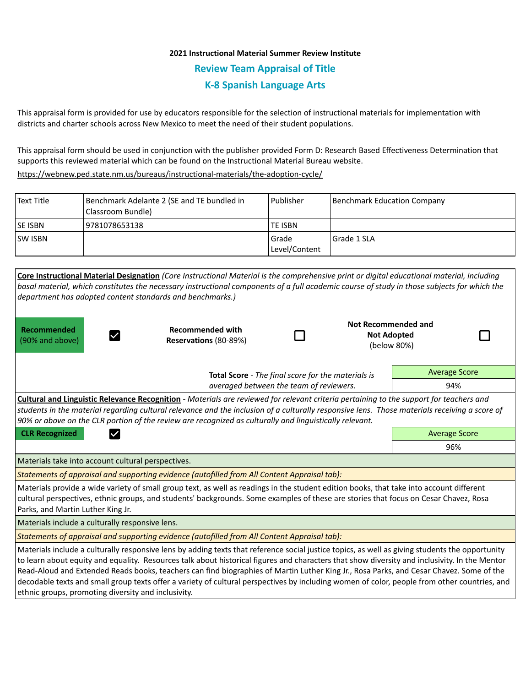# **2021 Instructional Material Summer Review Institute Review Team Appraisal of Title K-8 Spanish Language Arts**

This appraisal form is provided for use by educators responsible for the selection of instructional materials for implementation with districts and charter schools across New Mexico to meet the need of their student populations.

This appraisal form should be used in conjunction with the publisher provided Form D: Research Based Effectiveness Determination that supports this reviewed material which can be found on the Instructional Material Bureau website.

<https://webnew.ped.state.nm.us/bureaus/instructional-materials/the-adoption-cycle/>

| Text Title     | Benchmark Adelante 2 (SE and TE bundled in<br>Classroom Bundle) | l Publisher              | Benchmark Education Company |
|----------------|-----------------------------------------------------------------|--------------------------|-----------------------------|
| <b>SE ISBN</b> | 19781078653138                                                  | <b>TE ISBN</b>           |                             |
| <b>SW ISBN</b> |                                                                 | l Grade<br>Level/Content | l Grade 1 SLA               |

|                                                     | Core Instructional Material Designation (Core Instructional Material is the comprehensive print or digital educational material, including      |                                         |                     |                      |  |
|-----------------------------------------------------|-------------------------------------------------------------------------------------------------------------------------------------------------|-----------------------------------------|---------------------|----------------------|--|
|                                                     | basal material, which constitutes the necessary instructional components of a full academic course of study in those subjects for which the     |                                         |                     |                      |  |
|                                                     | department has adopted content standards and benchmarks.)                                                                                       |                                         |                     |                      |  |
|                                                     |                                                                                                                                                 |                                         |                     |                      |  |
|                                                     |                                                                                                                                                 |                                         | Not Recommended and |                      |  |
| Recommended                                         | <b>Recommended with</b>                                                                                                                         |                                         | <b>Not Adopted</b>  |                      |  |
| (90% and above)                                     | Reservations (80-89%)                                                                                                                           |                                         | (below 80%)         |                      |  |
|                                                     |                                                                                                                                                 |                                         |                     |                      |  |
|                                                     | Total Score - The final score for the materials is                                                                                              |                                         |                     | <b>Average Score</b> |  |
|                                                     |                                                                                                                                                 | averaged between the team of reviewers. |                     | 94%                  |  |
|                                                     | Cultural and Linguistic Relevance Recognition - Materials are reviewed for relevant criteria pertaining to the support for teachers and         |                                         |                     |                      |  |
|                                                     | students in the material regarding cultural relevance and the inclusion of a culturally responsive lens. Those materials receiving a score of   |                                         |                     |                      |  |
|                                                     | 90% or above on the CLR portion of the review are recognized as culturally and linguistically relevant.                                         |                                         |                     |                      |  |
| <b>CLR Recognized</b><br>$\checkmark$               |                                                                                                                                                 |                                         |                     | <b>Average Score</b> |  |
|                                                     |                                                                                                                                                 |                                         |                     | 96%                  |  |
| Materials take into account cultural perspectives.  |                                                                                                                                                 |                                         |                     |                      |  |
|                                                     | Statements of appraisal and supporting evidence (autofilled from All Content Appraisal tab):                                                    |                                         |                     |                      |  |
|                                                     | Materials provide a wide variety of small group text, as well as readings in the student edition books, that take into account different        |                                         |                     |                      |  |
|                                                     | cultural perspectives, ethnic groups, and students' backgrounds. Some examples of these are stories that focus on Cesar Chavez, Rosa            |                                         |                     |                      |  |
| Parks, and Martin Luther King Jr.                   |                                                                                                                                                 |                                         |                     |                      |  |
| Materials include a culturally responsive lens.     |                                                                                                                                                 |                                         |                     |                      |  |
|                                                     | Statements of appraisal and supporting evidence (autofilled from All Content Appraisal tab):                                                    |                                         |                     |                      |  |
|                                                     | Materials include a culturally responsive lens by adding texts that reference social justice topics, as well as giving students the opportunity |                                         |                     |                      |  |
|                                                     | to learn about equity and equality. Resources talk about historical figures and characters that show diversity and inclusivity. In the Mentor   |                                         |                     |                      |  |
|                                                     | Read-Aloud and Extended Reads books, teachers can find biographies of Martin Luther King Jr., Rosa Parks, and Cesar Chavez. Some of the         |                                         |                     |                      |  |
|                                                     | decodable texts and small group texts offer a variety of cultural perspectives by including women of color, people from other countries, and    |                                         |                     |                      |  |
| ethnic groups, promoting diversity and inclusivity. |                                                                                                                                                 |                                         |                     |                      |  |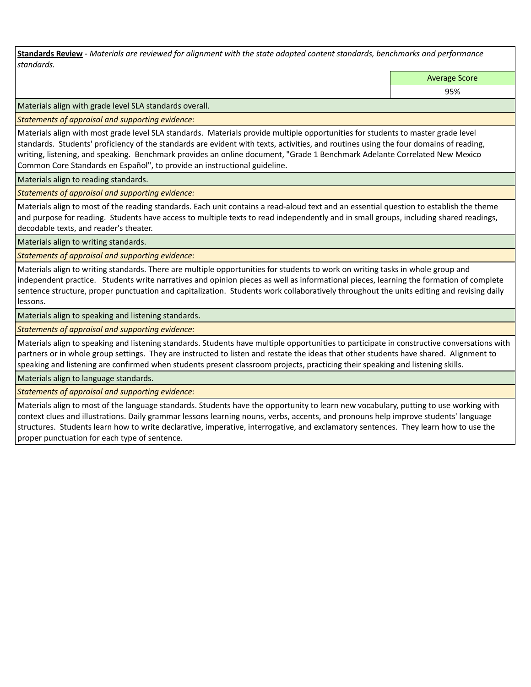**Standards Review** *- Materials are reviewed for alignment with the state adopted content standards, benchmarks and performance standards.*

Average Score

95%

Materials align with grade level SLA standards overall.

*Statements of appraisal and supporting evidence:* 

Materials align with most grade level SLA standards. Materials provide multiple opportunities for students to master grade level standards. Students' proficiency of the standards are evident with texts, activities, and routines using the four domains of reading, writing, listening, and speaking. Benchmark provides an online document, "Grade 1 Benchmark Adelante Correlated New Mexico Common Core Standards en Español", to provide an instructional guideline.

Materials align to reading standards.

*Statements of appraisal and supporting evidence:* 

Materials align to most of the reading standards. Each unit contains a read-aloud text and an essential question to establish the theme and purpose for reading. Students have access to multiple texts to read independently and in small groups, including shared readings, decodable texts, and reader's theater.

Materials align to writing standards.

*Statements of appraisal and supporting evidence:* 

Materials align to writing standards. There are multiple opportunities for students to work on writing tasks in whole group and independent practice. Students write narratives and opinion pieces as well as informational pieces, learning the formation of complete sentence structure, proper punctuation and capitalization. Students work collaboratively throughout the units editing and revising daily lessons.

Materials align to speaking and listening standards.

*Statements of appraisal and supporting evidence:* 

Materials align to speaking and listening standards. Students have multiple opportunities to participate in constructive conversations with partners or in whole group settings. They are instructed to listen and restate the ideas that other students have shared. Alignment to speaking and listening are confirmed when students present classroom projects, practicing their speaking and listening skills.

Materials align to language standards.

*Statements of appraisal and supporting evidence:* 

Materials align to most of the language standards. Students have the opportunity to learn new vocabulary, putting to use working with context clues and illustrations. Daily grammar lessons learning nouns, verbs, accents, and pronouns help improve students' language structures. Students learn how to write declarative, imperative, interrogative, and exclamatory sentences. They learn how to use the proper punctuation for each type of sentence.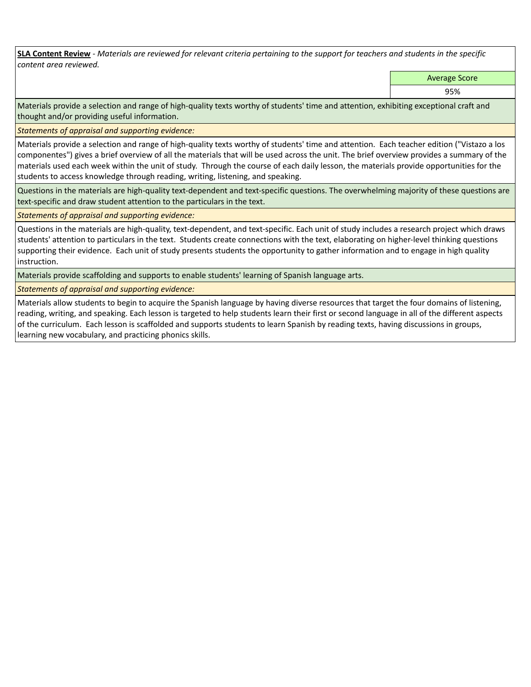**SLA Content Review** *- Materials are reviewed for relevant criteria pertaining to the support for teachers and students in the specific content area reviewed.*

Average Score

95%

Materials provide a selection and range of high-quality texts worthy of students' time and attention, exhibiting exceptional craft and thought and/or providing useful information.

*Statements of appraisal and supporting evidence:* 

Materials provide a selection and range of high-quality texts worthy of students' time and attention. Each teacher edition ("Vistazo a los componentes") gives a brief overview of all the materials that will be used across the unit. The brief overview provides a summary of the materials used each week within the unit of study. Through the course of each daily lesson, the materials provide opportunities for the students to access knowledge through reading, writing, listening, and speaking.

Questions in the materials are high-quality text-dependent and text-specific questions. The overwhelming majority of these questions are text-specific and draw student attention to the particulars in the text.

*Statements of appraisal and supporting evidence:* 

Questions in the materials are high-quality, text-dependent, and text-specific. Each unit of study includes a research project which draws students' attention to particulars in the text. Students create connections with the text, elaborating on higher-level thinking questions supporting their evidence. Each unit of study presents students the opportunity to gather information and to engage in high quality instruction.

Materials provide scaffolding and supports to enable students' learning of Spanish language arts.

*Statements of appraisal and supporting evidence:* 

Materials allow students to begin to acquire the Spanish language by having diverse resources that target the four domains of listening, reading, writing, and speaking. Each lesson is targeted to help students learn their first or second language in all of the different aspects of the curriculum. Each lesson is scaffolded and supports students to learn Spanish by reading texts, having discussions in groups, learning new vocabulary, and practicing phonics skills.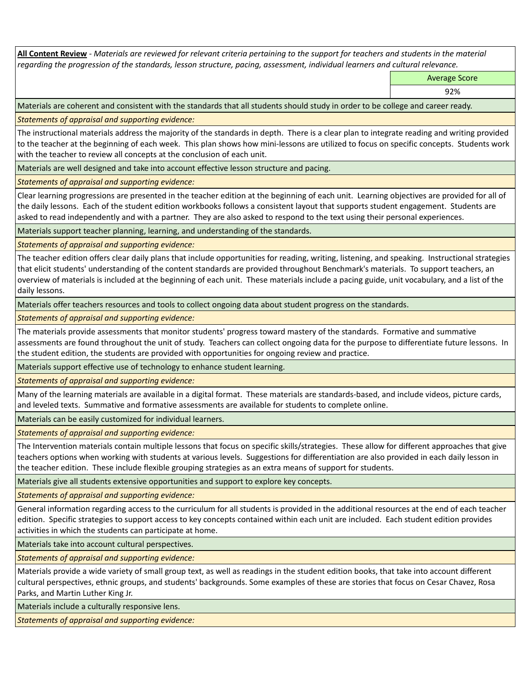**All Content Review** *- Materials are reviewed for relevant criteria pertaining to the support for teachers and students in the material regarding the progression of the standards, lesson structure, pacing, assessment, individual learners and cultural relevance.*

Average Score

92%

Materials are coherent and consistent with the standards that all students should study in order to be college and career ready.

*Statements of appraisal and supporting evidence:*

The instructional materials address the majority of the standards in depth. There is a clear plan to integrate reading and writing provided to the teacher at the beginning of each week. This plan shows how mini-lessons are utilized to focus on specific concepts. Students work with the teacher to review all concepts at the conclusion of each unit.

Materials are well designed and take into account effective lesson structure and pacing.

*Statements of appraisal and supporting evidence:*

Clear learning progressions are presented in the teacher edition at the beginning of each unit. Learning objectives are provided for all of the daily lessons. Each of the student edition workbooks follows a consistent layout that supports student engagement. Students are asked to read independently and with a partner. They are also asked to respond to the text using their personal experiences.

Materials support teacher planning, learning, and understanding of the standards.

*Statements of appraisal and supporting evidence:*

The teacher edition offers clear daily plans that include opportunities for reading, writing, listening, and speaking. Instructional strategies that elicit students' understanding of the content standards are provided throughout Benchmark's materials. To support teachers, an overview of materials is included at the beginning of each unit. These materials include a pacing guide, unit vocabulary, and a list of the daily lessons.

Materials offer teachers resources and tools to collect ongoing data about student progress on the standards.

*Statements of appraisal and supporting evidence:*

The materials provide assessments that monitor students' progress toward mastery of the standards. Formative and summative assessments are found throughout the unit of study. Teachers can collect ongoing data for the purpose to differentiate future lessons. In the student edition, the students are provided with opportunities for ongoing review and practice.

Materials support effective use of technology to enhance student learning.

*Statements of appraisal and supporting evidence:*

Many of the learning materials are available in a digital format. These materials are standards-based, and include videos, picture cards, and leveled texts. Summative and formative assessments are available for students to complete online.

Materials can be easily customized for individual learners.

*Statements of appraisal and supporting evidence:* 

The Intervention materials contain multiple lessons that focus on specific skills/strategies. These allow for different approaches that give teachers options when working with students at various levels. Suggestions for differentiation are also provided in each daily lesson in the teacher edition. These include flexible grouping strategies as an extra means of support for students.

Materials give all students extensive opportunities and support to explore key concepts.

*Statements of appraisal and supporting evidence:*

General information regarding access to the curriculum for all students is provided in the additional resources at the end of each teacher edition. Specific strategies to support access to key concepts contained within each unit are included. Each student edition provides activities in which the students can participate at home.

Materials take into account cultural perspectives.

*Statements of appraisal and supporting evidence:*

Materials provide a wide variety of small group text, as well as readings in the student edition books, that take into account different cultural perspectives, ethnic groups, and students' backgrounds. Some examples of these are stories that focus on Cesar Chavez, Rosa Parks, and Martin Luther King Jr.

Materials include a culturally responsive lens.

*Statements of appraisal and supporting evidence:*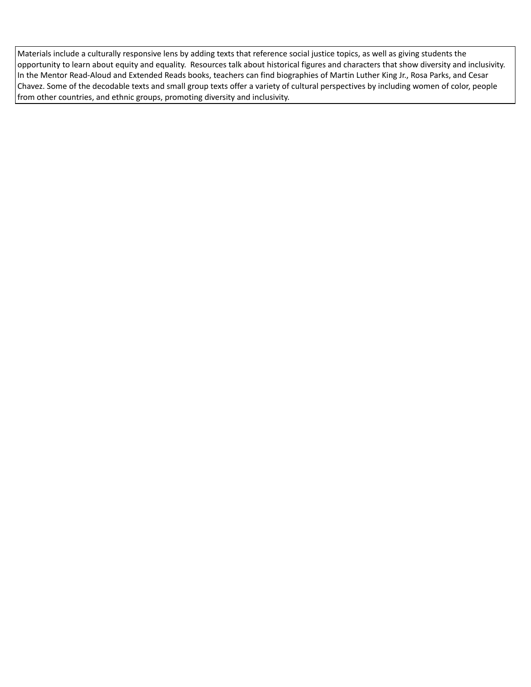Materials include a culturally responsive lens by adding texts that reference social justice topics, as well as giving students the opportunity to learn about equity and equality. Resources talk about historical figures and characters that show diversity and inclusivity. In the Mentor Read-Aloud and Extended Reads books, teachers can find biographies of Martin Luther King Jr., Rosa Parks, and Cesar Chavez. Some of the decodable texts and small group texts offer a variety of cultural perspectives by including women of color, people from other countries, and ethnic groups, promoting diversity and inclusivity.